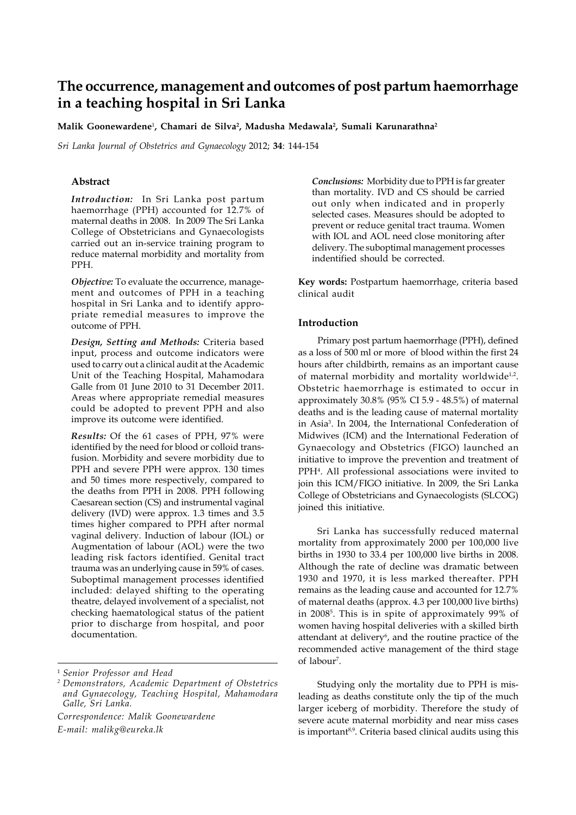# **The occurrence, management and outcomes of post partum haemorrhage in a teaching hospital in Sri Lanka**

**Malik Goonewardene**<sup>1</sup> **, Chamari de Silva2 , Madusha Medawala2 , Sumali Karunarathna2**

*Sri Lanka Journal of Obstetrics and Gynaecology* 2012; **34**: 144-154

# **Abstract**

*Introduction:* In Sri Lanka post partum haemorrhage (PPH) accounted for 12.7% of maternal deaths in 2008. In 2009 The Sri Lanka College of Obstetricians and Gynaecologists carried out an in-service training program to reduce maternal morbidity and mortality from PPH.

*Objective:* To evaluate the occurrence, management and outcomes of PPH in a teaching hospital in Sri Lanka and to identify appropriate remedial measures to improve the outcome of PPH.

*Design, Setting and Methods:* Criteria based input, process and outcome indicators were used to carry out a clinical audit at the Academic Unit of the Teaching Hospital, Mahamodara Galle from 01 June 2010 to 31 December 2011. Areas where appropriate remedial measures could be adopted to prevent PPH and also improve its outcome were identified.

*Results:* Of the 61 cases of PPH, 97% were identified by the need for blood or colloid transfusion. Morbidity and severe morbidity due to PPH and severe PPH were approx. 130 times and 50 times more respectively, compared to the deaths from PPH in 2008. PPH following Caesarean section (CS) and instrumental vaginal delivery (IVD) were approx. 1.3 times and 3.5 times higher compared to PPH after normal vaginal delivery. Induction of labour (IOL) or Augmentation of labour (AOL) were the two leading risk factors identified. Genital tract trauma was an underlying cause in 59% of cases. Suboptimal management processes identified included: delayed shifting to the operating theatre, delayed involvement of a specialist, not checking haematological status of the patient prior to discharge from hospital, and poor documentation.

*Correspondence: Malik Goonewardene E-mail: malikg@eureka.lk*

*Conclusions:* Morbidity due to PPH is far greater than mortality. IVD and CS should be carried out only when indicated and in properly selected cases. Measures should be adopted to prevent or reduce genital tract trauma. Women with IOL and AOL need close monitoring after delivery. The suboptimal management processes indentified should be corrected.

**Key words:** Postpartum haemorrhage, criteria based clinical audit

# **Introduction**

Primary post partum haemorrhage (PPH), defined as a loss of 500 ml or more of blood within the first 24 hours after childbirth, remains as an important cause of maternal morbidity and mortality worldwide $1/2$ . Obstetric haemorrhage is estimated to occur in approximately 30.8% (95% CI 5.9 - 48.5%) of maternal deaths and is the leading cause of maternal mortality in Asia3 . In 2004, the International Confederation of Midwives (ICM) and the International Federation of Gynaecology and Obstetrics (FIGO) launched an initiative to improve the prevention and treatment of PPH4 . All professional associations were invited to join this ICM/FIGO initiative. In 2009, the Sri Lanka College of Obstetricians and Gynaecologists (SLCOG) joined this initiative.

Sri Lanka has successfully reduced maternal mortality from approximately 2000 per 100,000 live births in 1930 to 33.4 per 100,000 live births in 2008. Although the rate of decline was dramatic between 1930 and 1970, it is less marked thereafter. PPH remains as the leading cause and accounted for 12.7% of maternal deaths (approx. 4.3 per 100,000 live births) in 20085 . This is in spite of approximately 99% of women having hospital deliveries with a skilled birth attendant at delivery<sup>6</sup>, and the routine practice of the recommended active management of the third stage of labour<sup>7</sup>.

Studying only the mortality due to PPH is misleading as deaths constitute only the tip of the much larger iceberg of morbidity. Therefore the study of severe acute maternal morbidity and near miss cases is important<sup>8,9</sup>. Criteria based clinical audits using this

<sup>1</sup> *Senior Professor and Head*

*<sup>2</sup> Demonstrators, Academic Department of Obstetrics and Gynaecology, Teaching Hospital, Mahamodara Galle, Sri Lanka.*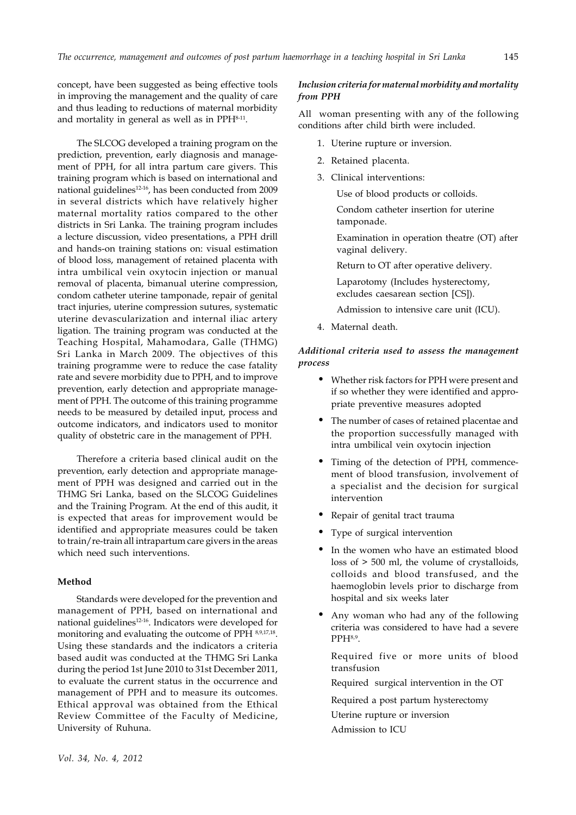concept, have been suggested as being effective tools in improving the management and the quality of care and thus leading to reductions of maternal morbidity and mortality in general as well as in PPH<sup>8-11</sup>.

The SLCOG developed a training program on the prediction, prevention, early diagnosis and management of PPH, for all intra partum care givers. This training program which is based on international and national guidelines<sup>12-16</sup>, has been conducted from 2009 in several districts which have relatively higher maternal mortality ratios compared to the other districts in Sri Lanka. The training program includes a lecture discussion, video presentations, a PPH drill and hands-on training stations on: visual estimation of blood loss, management of retained placenta with intra umbilical vein oxytocin injection or manual removal of placenta, bimanual uterine compression, condom catheter uterine tamponade, repair of genital tract injuries, uterine compression sutures, systematic uterine devascularization and internal iliac artery ligation. The training program was conducted at the Teaching Hospital, Mahamodara, Galle (THMG) Sri Lanka in March 2009. The objectives of this training programme were to reduce the case fatality rate and severe morbidity due to PPH, and to improve prevention, early detection and appropriate management of PPH. The outcome of this training programme needs to be measured by detailed input, process and outcome indicators, and indicators used to monitor quality of obstetric care in the management of PPH.

Therefore a criteria based clinical audit on the prevention, early detection and appropriate management of PPH was designed and carried out in the THMG Sri Lanka, based on the SLCOG Guidelines and the Training Program. At the end of this audit, it is expected that areas for improvement would be identified and appropriate measures could be taken to train/re-train all intrapartum care givers in the areas which need such interventions.

# **Method**

Standards were developed for the prevention and management of PPH, based on international and national guidelines12-16. Indicators were developed for monitoring and evaluating the outcome of PPH 8,9,17,18. Using these standards and the indicators a criteria based audit was conducted at the THMG Sri Lanka during the period 1st June 2010 to 31st December 2011, to evaluate the current status in the occurrence and management of PPH and to measure its outcomes. Ethical approval was obtained from the Ethical Review Committee of the Faculty of Medicine, University of Ruhuna.

# *Inclusion criteria for maternal morbidity and mortality from PPH*

All woman presenting with any of the following conditions after child birth were included.

- 1. Uterine rupture or inversion.
- 2. Retained placenta.
- 3. Clinical interventions:

Use of blood products or colloids.

Condom catheter insertion for uterine tamponade.

Examination in operation theatre (OT) after vaginal delivery.

Return to OT after operative delivery.

Laparotomy (Includes hysterectomy, excludes caesarean section [CS]).

Admission to intensive care unit (ICU).

4. Maternal death.

# *Additional criteria used to assess the management process*

- Whether risk factors for PPH were present and if so whether they were identified and appropriate preventive measures adopted
- The number of cases of retained placentae and the proportion successfully managed with intra umbilical vein oxytocin injection
- Timing of the detection of PPH, commencement of blood transfusion, involvement of a specialist and the decision for surgical intervention
- Repair of genital tract trauma
- Type of surgical intervention
- In the women who have an estimated blood loss of > 500 ml, the volume of crystalloids, colloids and blood transfused, and the haemoglobin levels prior to discharge from hospital and six weeks later
- Any woman who had any of the following criteria was considered to have had a severe  $PPH<sub>8,9</sub>$ .

Required five or more units of blood transfusion

Required surgical intervention in the OT

Required a post partum hysterectomy

Uterine rupture or inversion

Admission to ICU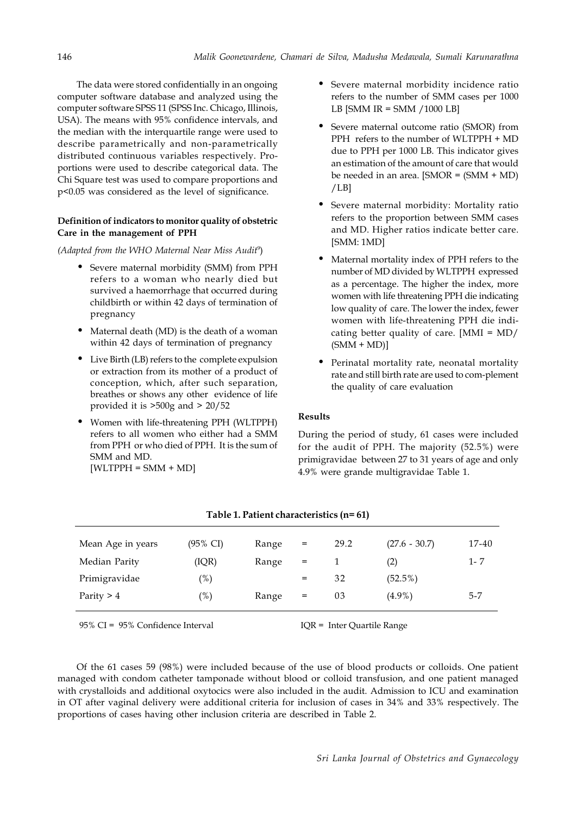The data were stored confidentially in an ongoing computer software database and analyzed using the computer software SPSS 11 (SPSS Inc. Chicago, Illinois, USA). The means with 95% confidence intervals, and the median with the interquartile range were used to describe parametrically and non-parametrically distributed continuous variables respectively. Proportions were used to describe categorical data. The Chi Square test was used to compare proportions and p<0.05 was considered as the level of significance.

## **Definition of indicators to monitor quality of obstetric Care in the management of PPH**

*(Adapted from the WHO Maternal Near Miss Audit*<sup>9</sup> )

- Severe maternal morbidity (SMM) from PPH refers to a woman who nearly died but survived a haemorrhage that occurred during childbirth or within 42 days of termination of pregnancy
- Maternal death (MD) is the death of a woman within 42 days of termination of pregnancy
- Live Birth (LB) refers to the complete expulsion or extraction from its mother of a product of conception, which, after such separation, breathes or shows any other evidence of life provided it is >500g and > 20/52
- Women with life-threatening PPH (WLTPPH) refers to all women who either had a SMM from PPH or who died of PPH. It is the sum of SMM and MD.  $[WLTPPH = SMM + MD]$
- Severe maternal morbidity incidence ratio refers to the number of SMM cases per 1000 LB [SMM IR = SMM /1000 LB]
- Severe maternal outcome ratio (SMOR) from PPH refers to the number of WLTPPH + MD due to PPH per 1000 LB. This indicator gives an estimation of the amount of care that would be needed in an area. [SMOR = (SMM + MD) /LB]
- Severe maternal morbidity: Mortality ratio refers to the proportion between SMM cases and MD. Higher ratios indicate better care. [SMM: 1MD]
- Maternal mortality index of PPH refers to the number of MD divided by WLTPPH expressed as a percentage. The higher the index, more women with life threatening PPH die indicating low quality of care. The lower the index, fewer women with life-threatening PPH die indicating better quality of care. [MMI = MD/  $(SMM + MD)$ ]
- Perinatal mortality rate, neonatal mortality rate and still birth rate are used to com-plement the quality of care evaluation

# **Results**

During the period of study, 61 cases were included for the audit of PPH. The majority (52.5%) were primigravidae between 27 to 31 years of age and only 4.9% were grande multigravidae Table 1.

| Mean Age in years | $(95\% \text{ CI})$ | Range | $=$ | 29.2 | $(27.6 - 30.7)$ | 17-40   |
|-------------------|---------------------|-------|-----|------|-----------------|---------|
| Median Parity     | (IQR)               | Range | $=$ |      | (2)             | 1-7     |
| Primigravidae     | $(\%)$              |       | $=$ | 32   | $(52.5\%)$      |         |
| Parity $> 4$      | $(\%)$              | Range | $=$ | 03   | $(4.9\%)$       | $5 - 7$ |

|  | Table 1. Patient characteristics (n= 61) |  |  |
|--|------------------------------------------|--|--|
|--|------------------------------------------|--|--|

95% CI = 95% Confidence Interval IQR = Inter Quartile Range

Of the 61 cases 59 (98%) were included because of the use of blood products or colloids. One patient managed with condom catheter tamponade without blood or colloid transfusion, and one patient managed with crystalloids and additional oxytocics were also included in the audit. Admission to ICU and examination in OT after vaginal delivery were additional criteria for inclusion of cases in 34% and 33% respectively. The proportions of cases having other inclusion criteria are described in Table 2.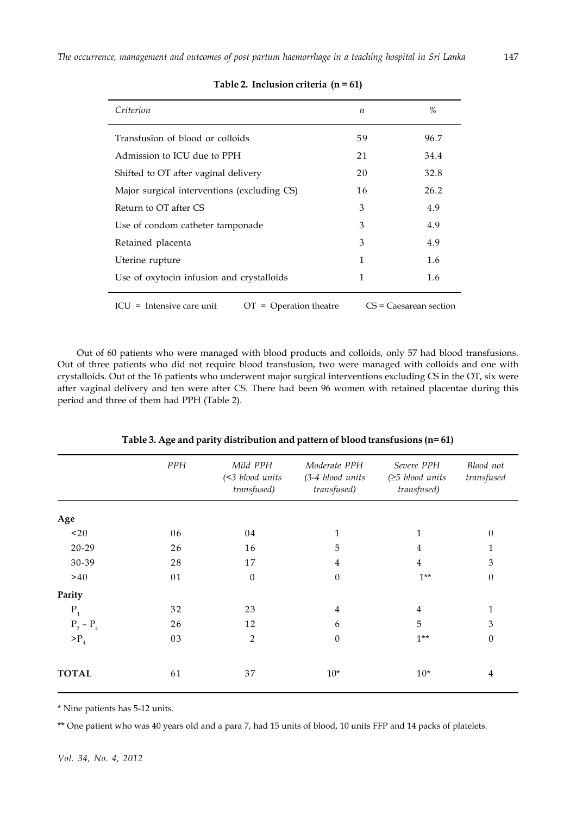| Criterion                                               | n  | %                        |
|---------------------------------------------------------|----|--------------------------|
| Transfusion of blood or colloids                        | 59 | 96.7                     |
| Admission to ICU due to PPH                             | 21 | 34.4                     |
| Shifted to OT after vaginal delivery                    | 20 | 32.8                     |
| Major surgical interventions (excluding CS)             | 16 | 26.2                     |
| Return to OT after CS                                   | 3  | 4.9                      |
| Use of condom catheter tamponade                        | 3  | 4.9                      |
| Retained placenta                                       | 3  | 4.9                      |
| Uterine rupture                                         | 1  | 1.6                      |
| Use of oxytocin infusion and crystalloids               | 1  | 1.6                      |
| $ICU = Intensive care unit$<br>$OT = Operation$ theatre |    | $CS = Caesarean section$ |

# **Table 2. Inclusion criteria (n = 61)**

Out of 60 patients who were managed with blood products and colloids, only 57 had blood transfusions. Out of three patients who did not require blood transfusion, two were managed with colloids and one with crystalloids. Out of the 16 patients who underwent major surgical interventions excluding CS in the OT, six were after vaginal delivery and ten were after CS. There had been 96 women with retained placentae during this period and three of them had PPH (Table 2).

|    | (<3 blood units<br>transfused) | (3-4 blood units<br>transfused) | $(\geq 5$ blood units<br>transfused) | Blood not<br>transfused |
|----|--------------------------------|---------------------------------|--------------------------------------|-------------------------|
|    |                                |                                 |                                      |                         |
| 06 | 04                             | $\mathbf 1$                     | 1                                    | $\boldsymbol{0}$        |
| 26 | 16                             | 5                               | $\overline{4}$                       | 1                       |
| 28 | 17                             | 4                               | $\overline{4}$                       | 3                       |
| 01 | $\theta$                       | $\theta$                        | $1***$                               | $\boldsymbol{0}$        |
|    |                                |                                 |                                      |                         |
| 32 | 23                             | $\overline{4}$                  | $\overline{4}$                       | $\mathbf{1}$            |
| 26 | 12                             | 6                               | 5                                    | 3                       |
| 03 | $\overline{2}$                 | $\theta$                        | $1**$                                | $\boldsymbol{0}$        |
| 61 | 37                             | $10*$                           | $10*$                                | 4                       |
|    | <b>PPH</b>                     | Mild PPH                        | Moderate PPH                         | Severe PPH              |

**Table 3. Age and parity distribution and pattern of blood transfusions (n= 61)**

\* Nine patients has 5-12 units.

\*\* One patient who was 40 years old and a para 7, had 15 units of blood, 10 units FFP and 14 packs of platelets.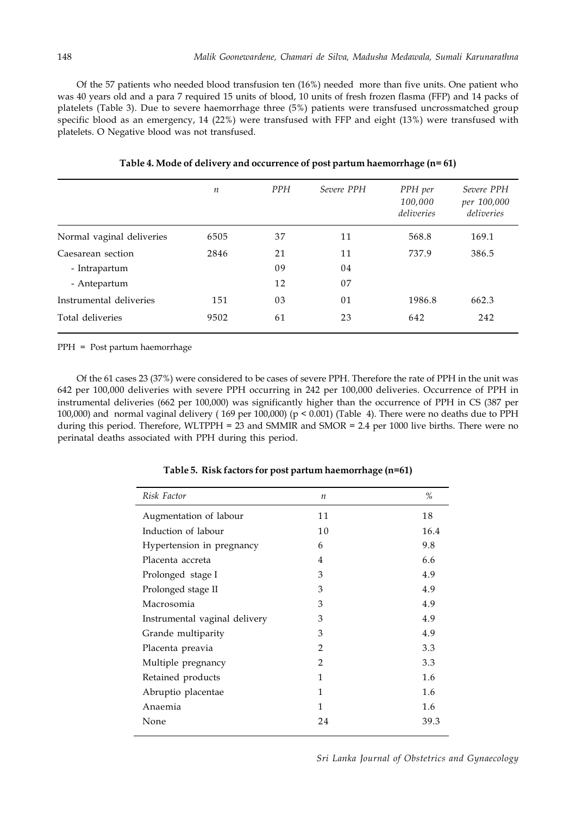Of the 57 patients who needed blood transfusion ten (16%) needed more than five units. One patient who was 40 years old and a para 7 required 15 units of blood, 10 units of fresh frozen flasma (FFP) and 14 packs of platelets (Table 3). Due to severe haemorrhage three (5%) patients were transfused uncrossmatched group specific blood as an emergency, 14 (22%) were transfused with FFP and eight (13%) were transfused with platelets. O Negative blood was not transfused.

|                           | $\boldsymbol{n}$ | <b>PPH</b> | Severe PPH | PPH per<br>100,000<br>deliveries | Severe PPH<br>per 100,000<br>deliveries |
|---------------------------|------------------|------------|------------|----------------------------------|-----------------------------------------|
| Normal vaginal deliveries | 6505             | 37         | 11         | 568.8                            | 169.1                                   |
| Caesarean section         | 2846             | 21         | 11         | 737.9                            | 386.5                                   |
| - Intrapartum             |                  | 09         | 04         |                                  |                                         |
| - Antepartum              |                  | 12         | 07         |                                  |                                         |
| Instrumental deliveries   | 151              | 03         | 01         | 1986.8                           | 662.3                                   |
| Total deliveries          | 9502             | 61         | 23         | 642                              | 242                                     |

**Table 4. Mode of delivery and occurrence of post partum haemorrhage (n= 61)**

PPH = Post partum haemorrhage

Of the 61 cases 23 (37%) were considered to be cases of severe PPH. Therefore the rate of PPH in the unit was 642 per 100,000 deliveries with severe PPH occurring in 242 per 100,000 deliveries. Occurrence of PPH in instrumental deliveries (662 per 100,000) was significantly higher than the occurrence of PPH in CS (387 per 100,000) and normal vaginal delivery ( 169 per 100,000) (p < 0.001) (Table 4). There were no deaths due to PPH during this period. Therefore, WLTPPH = 23 and SMMIR and SMOR = 2.4 per 1000 live births. There were no perinatal deaths associated with PPH during this period.

| Risk Factor                   | $\boldsymbol{n}$ | %    |
|-------------------------------|------------------|------|
| Augmentation of labour        | 11               | 18   |
| Induction of labour           | 10               | 16.4 |
| Hypertension in pregnancy     | 6                | 9.8  |
| Placenta accreta              | 4                | 6.6  |
| Prolonged stage I             | 3                | 4.9  |
| Prolonged stage II            | 3                | 4.9  |
| Macrosomia                    | 3                | 4.9  |
| Instrumental vaginal delivery | 3                | 4.9  |
| Grande multiparity            | 3                | 4.9  |
| Placenta preavia              | $\overline{2}$   | 3.3  |
| Multiple pregnancy            | $\overline{2}$   | 3.3  |
| Retained products             | 1                | 1.6  |
| Abruptio placentae            | 1                | 1.6  |
| Anaemia                       | 1                | 1.6  |
| None                          | 24               | 39.3 |

**Table 5. Risk factors for post partum haemorrhage (n=61)**

*Sri Lanka Journal of Obstetrics and Gynaecology*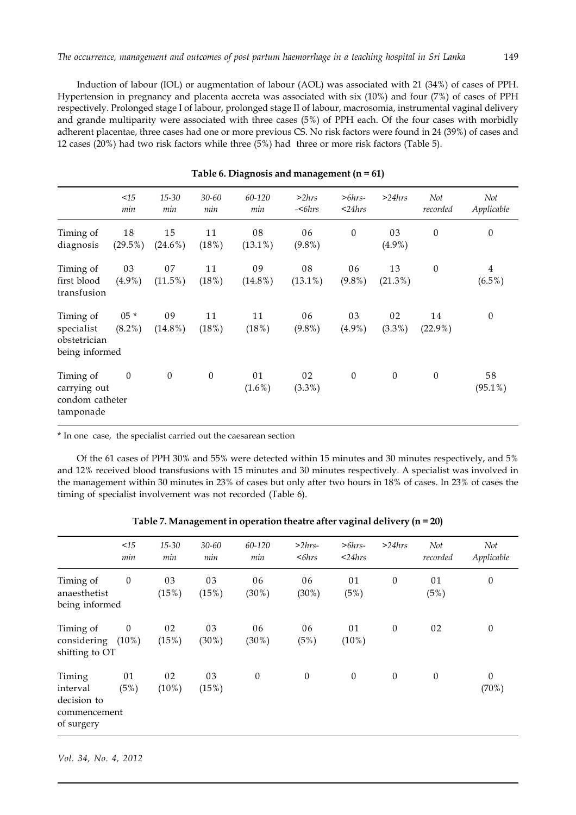Induction of labour (IOL) or augmentation of labour (AOL) was associated with 21 (34%) of cases of PPH. Hypertension in pregnancy and placenta accreta was associated with six (10%) and four (7%) of cases of PPH respectively. Prolonged stage I of labour, prolonged stage II of labour, macrosomia, instrumental vaginal delivery and grande multiparity were associated with three cases (5%) of PPH each. Of the four cases with morbidly adherent placentae, three cases had one or more previous CS. No risk factors were found in 24 (39%) of cases and 12 cases (20%) had two risk factors while three (5%) had three or more risk factors (Table 5).

|                                                           | <15<br>min          | $15 - 30$<br>min | $30 - 60$<br>min | 60-120<br>min    | >2hrs<br>$-$<br>$6hrs$ | $> 6hrs-$<br>$<$ 24 $hrs$ | >24hrs           | Not<br>recorded  | Not<br>Applicable           |
|-----------------------------------------------------------|---------------------|------------------|------------------|------------------|------------------------|---------------------------|------------------|------------------|-----------------------------|
| Timing of<br>diagnosis                                    | 18<br>$(29.5\%)$    | 15<br>$(24.6\%)$ | 11<br>(18%)      | 08<br>$(13.1\%)$ | 06<br>$(9.8\%)$        | $\boldsymbol{0}$          | 03<br>$(4.9\%)$  | $\boldsymbol{0}$ | $\boldsymbol{0}$            |
| Timing of<br>first blood<br>transfusion                   | 03<br>$(4.9\%)$     | 07<br>$(11.5\%)$ | 11<br>(18%)      | 09<br>$(14.8\%)$ | 08<br>$(13.1\%)$       | 06<br>$(9.8\%)$           | 13<br>$(21.3\%)$ | $\theta$         | $\overline{4}$<br>$(6.5\%)$ |
| Timing of<br>specialist<br>obstetrician<br>being informed | $05 *$<br>$(8.2\%)$ | 09<br>$(14.8\%)$ | 11<br>(18%)      | 11<br>(18%)      | 06<br>$(9.8\%)$        | 03<br>$(4.9\%)$           | 02<br>$(3.3\%)$  | 14<br>$(22.9\%)$ | $\boldsymbol{0}$            |
| Timing of<br>carrying out<br>condom catheter<br>tamponade | $\boldsymbol{0}$    | $\boldsymbol{0}$ | $\theta$         | 01<br>$(1.6\%)$  | 02<br>$(3.3\%)$        | $\boldsymbol{0}$          | $\mathbf{0}$     | $\theta$         | 58<br>$(95.1\%)$            |

# **Table 6. Diagnosis and management (n = 61)**

\* In one case, the specialist carried out the caesarean section

Of the 61 cases of PPH 30% and 55% were detected within 15 minutes and 30 minutes respectively, and 5% and 12% received blood transfusions with 15 minutes and 30 minutes respectively. A specialist was involved in the management within 30 minutes in 23% of cases but only after two hours in 18% of cases. In 23% of cases the timing of specialist involvement was not recorded (Table 6).

|                                                                 | <15<br>min                   | $15 - 30$<br>min | $30 - 60$<br>min | 60-120<br>min    | $>2hrs-$<br>$<$ 6 $hrs$ | $> 6hrs-$<br>$<$ 24 $hrs$ | >24hrs           | Not<br>recorded  | Not<br>Applicable     |
|-----------------------------------------------------------------|------------------------------|------------------|------------------|------------------|-------------------------|---------------------------|------------------|------------------|-----------------------|
| Timing of<br>anaesthetist<br>being informed                     | $\boldsymbol{0}$             | 03<br>(15%)      | 03<br>(15%)      | 06<br>$(30\%)$   | 06<br>(30%)             | 01<br>(5%)                | $\boldsymbol{0}$ | 01<br>(5%)       | $\boldsymbol{0}$      |
| Timing of<br>considering<br>shifting to OT                      | $\boldsymbol{0}$<br>$(10\%)$ | 02<br>(15%)      | 03<br>$(30\%)$   | 06<br>$(30\%)$   | 06<br>(5%)              | 01<br>$(10\%)$            | $\theta$         | 02               | $\boldsymbol{0}$      |
| Timing<br>interval<br>decision to<br>commencement<br>of surgery | 01<br>(5%)                   | 02<br>$(10\%)$   | 03<br>(15%)      | $\boldsymbol{0}$ | $\boldsymbol{0}$        | $\boldsymbol{0}$          | $\boldsymbol{0}$ | $\boldsymbol{0}$ | $\mathbf{0}$<br>(70%) |

| Table 7. Management in operation theatre after vaginal delivery ( $n = 20$ ) |  |  |
|------------------------------------------------------------------------------|--|--|
|                                                                              |  |  |

*Vol. 34, No. 4, 2012*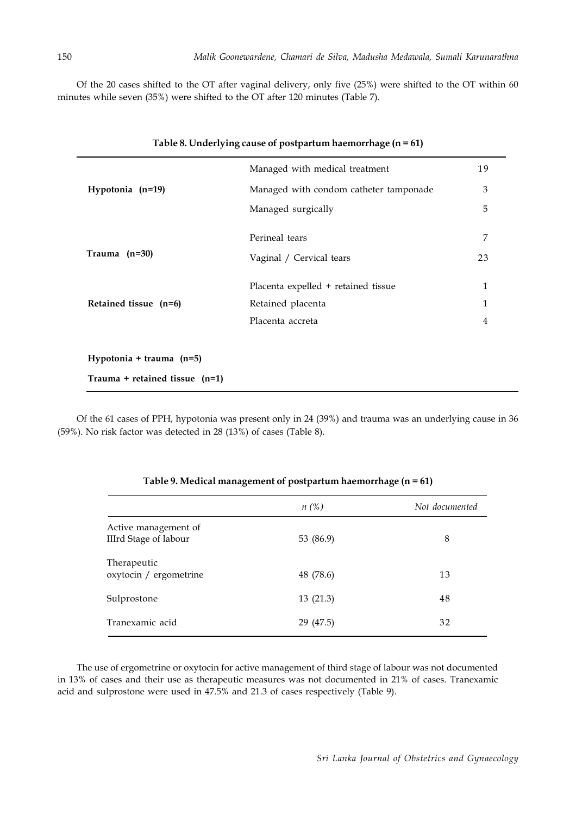Of the 20 cases shifted to the OT after vaginal delivery, only five (25%) were shifted to the OT within 60 minutes while seven (35%) were shifted to the OT after 120 minutes (Table 7).

|                            | Managed with medical treatment         | 19 |
|----------------------------|----------------------------------------|----|
| Hypotonia (n=19)           | Managed with condom catheter tamponade | 3  |
|                            | Managed surgically                     | 5  |
|                            | Perineal tears                         | 7  |
| Trauma $(n=30)$            | Vaginal / Cervical tears               | 23 |
|                            | Placenta expelled + retained tissue    | 1  |
| Retained tissue (n=6)      | Retained placenta                      | 1  |
|                            | Placenta accreta                       | 4  |
| Hypotonia + trauma $(n=5)$ |                                        |    |

Of the 61 cases of PPH, hypotonia was present only in 24 (39%) and trauma was an underlying cause in 36 (59%). No risk factor was detected in 28 (13%) of cases (Table 8).

|                                                      | $n(\%)$   | Not documented |
|------------------------------------------------------|-----------|----------------|
| Active management of<br><b>IIIrd Stage of labour</b> | 53 (86.9) | 8              |
| Therapeutic<br>oxytocin / ergometrine                | 48 (78.6) | 13             |
| Sulprostone                                          | 13(21.3)  | 48             |
| Tranexamic acid                                      | 29 (47.5) | 32             |

## **Table 9. Medical management of postpartum haemorrhage (n = 61)**

The use of ergometrine or oxytocin for active management of third stage of labour was not documented in 13% of cases and their use as therapeutic measures was not documented in 21% of cases. Tranexamic acid and sulprostone were used in 47.5% and 21.3 of cases respectively (Table 9).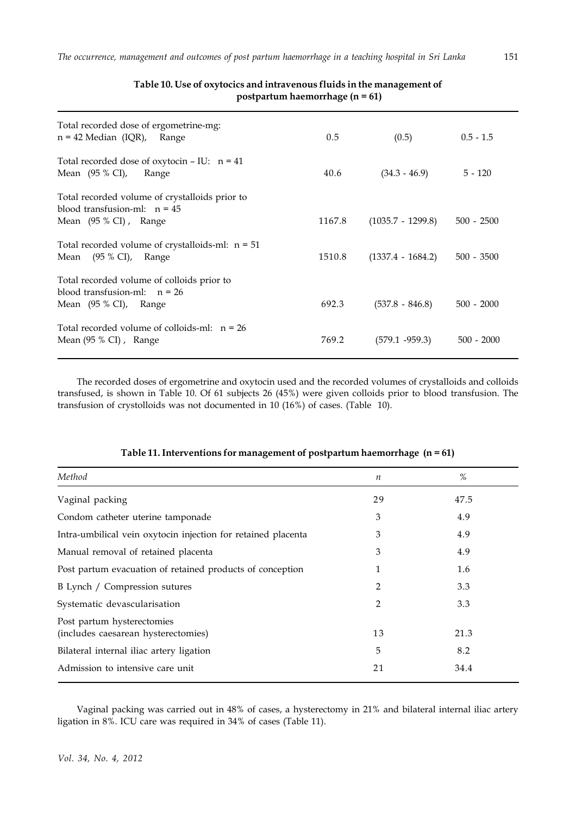| Total recorded dose of ergometrine-mg:<br>$n = 42$ Median (IQR),<br>Range                                 | 0.5    | (0.5)               | $0.5 - 1.5$  |
|-----------------------------------------------------------------------------------------------------------|--------|---------------------|--------------|
| Total recorded dose of oxytocin $-$ IU: n = 41<br>Mean $(95 % CI)$ ,<br>Range                             | 40.6   | $(34.3 - 46.9)$     | $5 - 120$    |
| Total recorded volume of crystalloids prior to<br>blood transfusion-ml: $n = 45$<br>Mean (95 % CI), Range | 1167.8 | $(1035.7 - 1299.8)$ | $500 - 2500$ |
| Total recorded volume of crystalloids-ml: $n = 51$<br>Mean $(95 % CI)$ ,<br>Range                         | 1510.8 | $(1337.4 - 1684.2)$ | $500 - 3500$ |
| Total recorded volume of colloids prior to<br>blood transfusion-ml: $n = 26$<br>Mean (95 % CI), Range     | 692.3  | $(537.8 - 846.8)$   | $500 - 2000$ |
| Total recorded volume of colloids-ml: $n = 26$<br>Mean (95 % CI), Range                                   | 769.2  | $(579.1 - 959.3)$   | $500 - 2000$ |

# **Table 10. Use of oxytocics and intravenous fluids in the management of postpartum haemorrhage (n = 61)**

The recorded doses of ergometrine and oxytocin used and the recorded volumes of crystalloids and colloids transfused, is shown in Table 10. Of 61 subjects 26 (45%) were given colloids prior to blood transfusion. The transfusion of crystolloids was not documented in 10 (16%) of cases. (Table 10).

| Method                                                            | n  | %    |
|-------------------------------------------------------------------|----|------|
| Vaginal packing                                                   | 29 | 47.5 |
| Condom catheter uterine tamponade                                 | 3  | 4.9  |
| Intra-umbilical vein oxytocin injection for retained placenta     | 3  | 4.9  |
| Manual removal of retained placenta                               | 3  | 4.9  |
| Post partum evacuation of retained products of conception         | 1  | 1.6  |
| B Lynch / Compression sutures                                     | 2  | 3.3  |
| Systematic devascularisation                                      | 2  | 3.3  |
| Post partum hysterectomies<br>(includes caesarean hysterectomies) | 13 | 21.3 |
| Bilateral internal iliac artery ligation                          | 5  | 8.2  |
| Admission to intensive care unit                                  | 21 | 34.4 |

# **Table 11. Interventions for management of postpartum haemorrhage (n = 61)**

Vaginal packing was carried out in 48% of cases, a hysterectomy in 21% and bilateral internal iliac artery ligation in 8%. ICU care was required in 34% of cases (Table 11).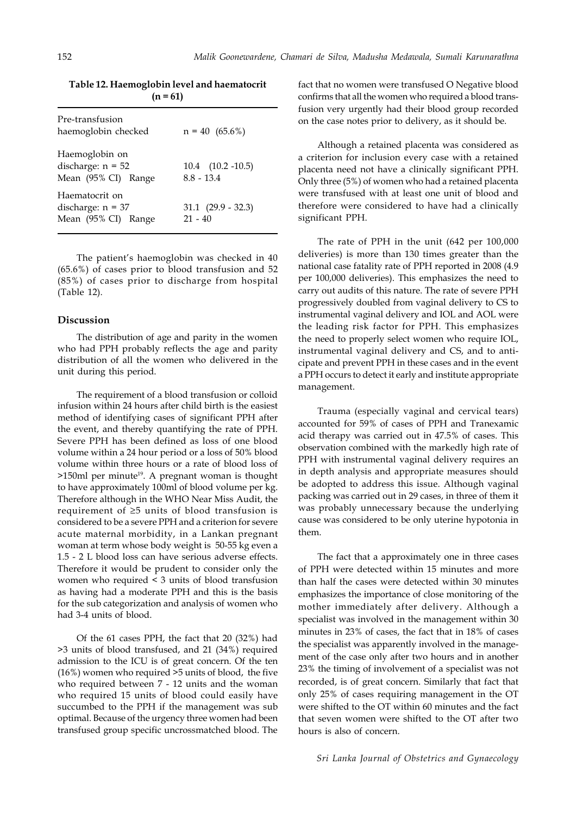| $(n = 61)$                                                   |                                       |  |
|--------------------------------------------------------------|---------------------------------------|--|
| Pre-transfusion<br>haemoglobin checked                       | $n = 40$ (65.6%)                      |  |
| Haemoglobin on<br>discharge: $n = 52$<br>Mean (95% CI) Range | $10.4$ $(10.2 -10.5)$<br>$8.8 - 13.4$ |  |
| Haematocrit on<br>discharge: $n = 37$<br>Mean (95% CI) Range | $31.1 \ (29.9 - 32.3)$<br>$21 - 40$   |  |

**Table 12. Haemoglobin level and haematocrit**

The patient's haemoglobin was checked in 40 (65.6%) of cases prior to blood transfusion and 52 (85%) of cases prior to discharge from hospital (Table 12).

#### **Discussion**

The distribution of age and parity in the women who had PPH probably reflects the age and parity distribution of all the women who delivered in the unit during this period.

The requirement of a blood transfusion or colloid infusion within 24 hours after child birth is the easiest method of identifying cases of significant PPH after the event, and thereby quantifying the rate of PPH. Severe PPH has been defined as loss of one blood volume within a 24 hour period or a loss of 50% blood volume within three hours or a rate of blood loss of  $>150$ ml per minute<sup>19</sup>. A pregnant woman is thought to have approximately 100ml of blood volume per kg. Therefore although in the WHO Near Miss Audit, the requirement of ≥5 units of blood transfusion is considered to be a severe PPH and a criterion for severe acute maternal morbidity, in a Lankan pregnant woman at term whose body weight is 50-55 kg even a 1.5 - 2 L blood loss can have serious adverse effects. Therefore it would be prudent to consider only the women who required < 3 units of blood transfusion as having had a moderate PPH and this is the basis for the sub categorization and analysis of women who had 3-4 units of blood.

Of the 61 cases PPH, the fact that 20 (32%) had >3 units of blood transfused, and 21 (34%) required admission to the ICU is of great concern. Of the ten (16%) women who required >5 units of blood, the five who required between 7 - 12 units and the woman who required 15 units of blood could easily have succumbed to the PPH if the management was sub optimal. Because of the urgency three women had been transfused group specific uncrossmatched blood. The fact that no women were transfused O Negative blood confirms that all the women who required a blood transfusion very urgently had their blood group recorded on the case notes prior to delivery, as it should be.

Although a retained placenta was considered as a criterion for inclusion every case with a retained placenta need not have a clinically significant PPH. Only three (5%) of women who had a retained placenta were transfused with at least one unit of blood and therefore were considered to have had a clinically significant PPH.

The rate of PPH in the unit (642 per 100,000 deliveries) is more than 130 times greater than the national case fatality rate of PPH reported in 2008 (4.9 per 100,000 deliveries). This emphasizes the need to carry out audits of this nature. The rate of severe PPH progressively doubled from vaginal delivery to CS to instrumental vaginal delivery and IOL and AOL were the leading risk factor for PPH. This emphasizes the need to properly select women who require IOL, instrumental vaginal delivery and CS, and to anticipate and prevent PPH in these cases and in the event a PPH occurs to detect it early and institute appropriate management.

Trauma (especially vaginal and cervical tears) accounted for 59% of cases of PPH and Tranexamic acid therapy was carried out in 47.5% of cases. This observation combined with the markedly high rate of PPH with instrumental vaginal delivery requires an in depth analysis and appropriate measures should be adopted to address this issue. Although vaginal packing was carried out in 29 cases, in three of them it was probably unnecessary because the underlying cause was considered to be only uterine hypotonia in them.

The fact that a approximately one in three cases of PPH were detected within 15 minutes and more than half the cases were detected within 30 minutes emphasizes the importance of close monitoring of the mother immediately after delivery. Although a specialist was involved in the management within 30 minutes in 23% of cases, the fact that in 18% of cases the specialist was apparently involved in the management of the case only after two hours and in another 23% the timing of involvement of a specialist was not recorded, is of great concern. Similarly that fact that only 25% of cases requiring management in the OT were shifted to the OT within 60 minutes and the fact that seven women were shifted to the OT after two hours is also of concern.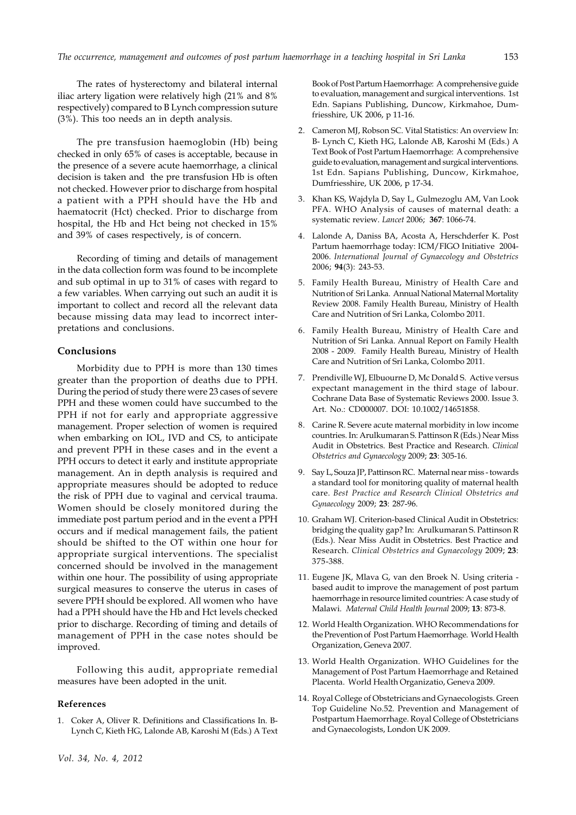The rates of hysterectomy and bilateral internal iliac artery ligation were relatively high (21% and 8% respectively) compared to B Lynch compression suture (3%). This too needs an in depth analysis.

The pre transfusion haemoglobin (Hb) being checked in only 65% of cases is acceptable, because in the presence of a severe acute haemorrhage, a clinical decision is taken and the pre transfusion Hb is often not checked. However prior to discharge from hospital a patient with a PPH should have the Hb and haematocrit (Hct) checked. Prior to discharge from hospital, the Hb and Hct being not checked in 15% and 39% of cases respectively, is of concern.

Recording of timing and details of management in the data collection form was found to be incomplete and sub optimal in up to 31% of cases with regard to a few variables. When carrying out such an audit it is important to collect and record all the relevant data because missing data may lead to incorrect interpretations and conclusions.

# **Conclusions**

Morbidity due to PPH is more than 130 times greater than the proportion of deaths due to PPH. During the period of study there were 23 cases of severe PPH and these women could have succumbed to the PPH if not for early and appropriate aggressive management. Proper selection of women is required when embarking on IOL, IVD and CS, to anticipate and prevent PPH in these cases and in the event a PPH occurs to detect it early and institute appropriate management. An in depth analysis is required and appropriate measures should be adopted to reduce the risk of PPH due to vaginal and cervical trauma. Women should be closely monitored during the immediate post partum period and in the event a PPH occurs and if medical management fails, the patient should be shifted to the OT within one hour for appropriate surgical interventions. The specialist concerned should be involved in the management within one hour. The possibility of using appropriate surgical measures to conserve the uterus in cases of severe PPH should be explored. All women who have had a PPH should have the Hb and Hct levels checked prior to discharge. Recording of timing and details of management of PPH in the case notes should be improved.

Following this audit, appropriate remedial measures have been adopted in the unit.

# **References**

1. Coker A, Oliver R. Definitions and Classifications In. B-Lynch C, Kieth HG, Lalonde AB, Karoshi M (Eds.) A Text Book of Post Partum Haemorrhage: A comprehensive guide to evaluation, management and surgical interventions. 1st Edn. Sapians Publishing, Duncow, Kirkmahoe, Dumfriesshire, UK 2006, p 11-16.

- 2. Cameron MJ, Robson SC. Vital Statistics: An overview In: B- Lynch C, Kieth HG, Lalonde AB, Karoshi M (Eds.) A Text Book of Post Partum Haemorrhage: A comprehensive guide to evaluation, management and surgical interventions. 1st Edn. Sapians Publishing, Duncow, Kirkmahoe, Dumfriesshire, UK 2006, p 17-34.
- 3. Khan KS, Wajdyla D, Say L, Gulmezoglu AM, Van Look PFA. WHO Analysis of causes of maternal death: a systematic review. *Lancet* 2006; **367**: 1066-74.
- 4. Lalonde A, Daniss BA, Acosta A, Herschderfer K. Post Partum haemorrhage today: ICM/FIGO Initiative 2004- 2006. *International Journal of Gynaecology and Obstetrics* 2006; **94**(3): 243-53.
- 5. Family Health Bureau, Ministry of Health Care and Nutrition of Sri Lanka. Annual National Maternal Mortality Review 2008. Family Health Bureau, Ministry of Health Care and Nutrition of Sri Lanka, Colombo 2011.
- 6. Family Health Bureau, Ministry of Health Care and Nutrition of Sri Lanka. Annual Report on Family Health 2008 - 2009. Family Health Bureau, Ministry of Health Care and Nutrition of Sri Lanka, Colombo 2011.
- 7. Prendiville WJ, Elbuourne D, Mc Donald S. Active versus expectant management in the third stage of labour. Cochrane Data Base of Systematic Reviews 2000. Issue 3. Art. No.: CD000007. DOI: 10.1002/14651858.
- 8. Carine R. Severe acute maternal morbidity in low income countries. In: Arulkumaran S. Pattinson R (Eds.) Near Miss Audit in Obstetrics. Best Practice and Research. *Clinical Obstetrics and Gynaecology* 2009; **23**: 305-16.
- 9. Say L, Souza JP, Pattinson RC. Maternal near miss towards a standard tool for monitoring quality of maternal health care. *Best Practice and Research Clinical Obstetrics and Gynaecology* 2009; **23**: 287-96.
- 10. Graham WJ. Criterion-based Clinical Audit in Obstetrics: bridging the quality gap? In: Arulkumaran S. Pattinson R (Eds.). Near Miss Audit in Obstetrics. Best Practice and Research. *Clinical Obstetrics and Gynaecology* 2009; **23**: 375-388.
- 11. Eugene JK, Mlava G, van den Broek N. Using criteria based audit to improve the management of post partum haemorrhage in resource limited countries: A case study of Malawi. *Maternal Child Health Journal* 2009; **13**: 873-8.
- 12. World Health Organization. WHO Recommendations for the Prevention of Post Partum Haemorrhage. World Health Organization, Geneva 2007.
- 13. World Health Organization. WHO Guidelines for the Management of Post Partum Haemorrhage and Retained Placenta. World Health Organizatio, Geneva 2009.
- 14. Royal College of Obstetricians and Gynaecologists. Green Top Guideline No.52. Prevention and Management of Postpartum Haemorrhage. Royal College of Obstetricians and Gynaecologists, London UK 2009.